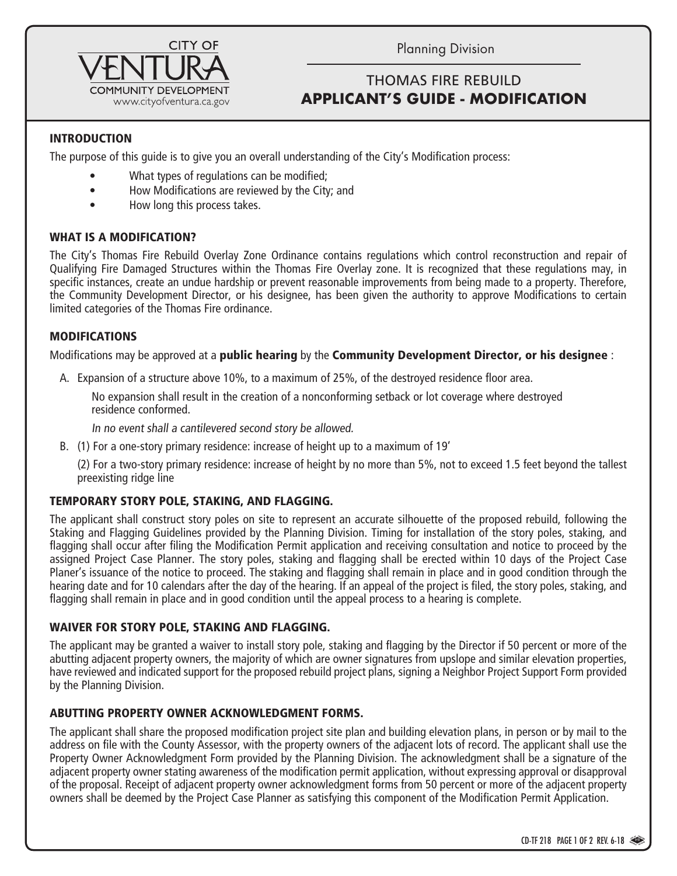

Planning Division

# THOMAS FIRE REBUILD **TITLE HERE IN ALL CAPS APPLICANT'S GUIDE - MODIFICATION**

### INTRODUCTION

The purpose of this guide is to give you an overall understanding of the City's Modification process:

- What types of regulations can be modified;
- How Modifications are reviewed by the City; and
- How long this process takes.

#### WHAT IS A MODIFICATION?

The City's Thomas Fire Rebuild Overlay Zone Ordinance contains regulations which control reconstruction and repair of Qualifying Fire Damaged Structures within the Thomas Fire Overlay zone. It is recognized that these regulations may, in specific instances, create an undue hardship or prevent reasonable improvements from being made to a property. Therefore, the Community Development Director, or his designee, has been given the authority to approve Modifications to certain limited categories of the Thomas Fire ordinance.

#### MODIFICATIONS

Modifications may be approved at a **public hearing** by the **Community Development Director, or his designee** :

A. Expansion of a structure above 10%, to a maximum of 25%, of the destroyed residence floor area.

No expansion shall result in the creation of a nonconforming setback or lot coverage where destroyed residence conformed.

In no event shall a cantilevered second story be allowed.

B. (1) For a one-story primary residence: increase of height up to a maximum of 19'

(2) For a two-story primary residence: increase of height by no more than 5%, not to exceed 1.5 feet beyond the tallest preexisting ridge line

#### TEMPORARY STORY POLE, STAKING, AND FLAGGING.

The applicant shall construct story poles on site to represent an accurate silhouette of the proposed rebuild, following the Staking and Flagging Guidelines provided by the Planning Division. Timing for installation of the story poles, staking, and flagging shall occur after filing the Modification Permit application and receiving consultation and notice to proceed by the assigned Project Case Planner. The story poles, staking and flagging shall be erected within 10 days of the Project Case Planer's issuance of the notice to proceed. The staking and flagging shall remain in place and in good condition through the hearing date and for 10 calendars after the day of the hearing. If an appeal of the project is filed, the story poles, staking, and flagging shall remain in place and in good condition until the appeal process to a hearing is complete.

#### WAIVER FOR STORY POLE, STAKING AND FLAGGING.

The applicant may be granted a waiver to install story pole, staking and flagging by the Director if 50 percent or more of the abutting adjacent property owners, the majority of which are owner signatures from upslope and similar elevation properties, have reviewed and indicated support for the proposed rebuild project plans, signing a Neighbor Project Support Form provided by the Planning Division.

#### ABUTTING PROPERTY OWNER ACKNOWLEDGMENT FORMS.

The applicant shall share the proposed modification project site plan and building elevation plans, in person or by mail to the address on file with the County Assessor, with the property owners of the adjacent lots of record. The applicant shall use the Property Owner Acknowledgment Form provided by the Planning Division. The acknowledgment shall be a signature of the adjacent property owner stating awareness of the modification permit application, without expressing approval or disapproval of the proposal. Receipt of adjacent property owner acknowledgment forms from 50 percent or more of the adjacent property owners shall be deemed by the Project Case Planner as satisfying this component of the Modification Permit Application.